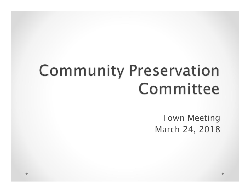# **Community Preservation** Committee

Town Meeting March 24, 2018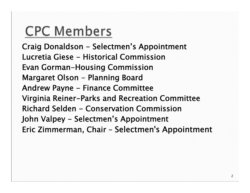# **CPC Members**

**Craig Donaldson - Selectmen's Appointment Lucretia Giese - Historical Commission Evan Gorman-Housing Commission Margaret Olson - Planning Board Andrew Payne - Finance Committee Virginia Reiner-Parks and Recreation Committee Richard Selden - Conservation Commission John Valpey - Selectmen's Appointment Eric Zimmerman, Chair – Selectmen's Appointment**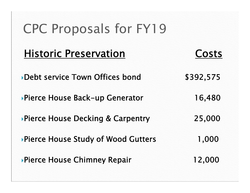**Historic Preservation Costs**

**Debt service Town Offices bond \$392,575**

**Pierce House Back-up Generator 16,480**

**Pierce House Decking & Carpentry 25,000**

**Pierce House Study of Wood Gutters 1,000**

**Pierce House Chimney Repair 12,000**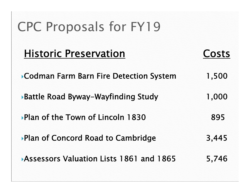| <b>Historic Preservation</b>              | Costs |
|-------------------------------------------|-------|
| ▶ Codman Farm Barn Fire Detection System  | 1,500 |
| <b>Battle Road Byway-Wayfinding Study</b> | 1,000 |
| ▶ Plan of the Town of Lincoln 1830        | 895   |
| ▶ Plan of Concord Road to Cambridge       | 3,445 |
|                                           |       |

**Assessors Valuation Lists 1861 and 1865 5,746**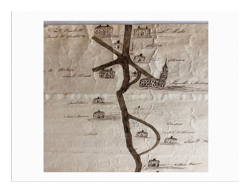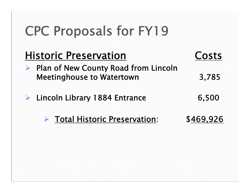| <b>Historic Preservation</b>                                                    | <b>Costs</b> |
|---------------------------------------------------------------------------------|--------------|
| <b>Plan of New County Road from Lincoln</b><br><b>Meetinghouse to Watertown</b> | 3,785        |
| $\triangleright$ Lincoln Library 1884 Entrance                                  | 6,500        |
| Total Historic Preservation:                                                    | \$469,926    |
|                                                                                 |              |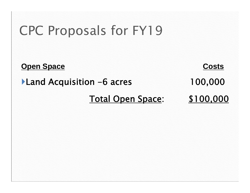**Open Space Costs**

**Land Acquisition -6 acres 100,000**

**Total Open Space: \$100,000**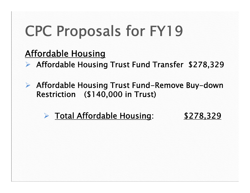#### **Affordable Housing**

**Affordable Housing Trust Fund Transfer \$278,329**

 **Affordable Housing Trust Fund-Remove Buy-down Restriction (\$140,000 in Trust)**

#### **Total Affordable Housing: \$278,329**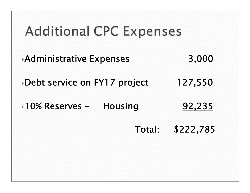# **Additional CPC Expenses**

- **Administrative Expenses 3,000**
- **Debt service on FY17 project 127,550**
- **10% Reserves – Housing 92,235**
	- **Total: \$222,785**